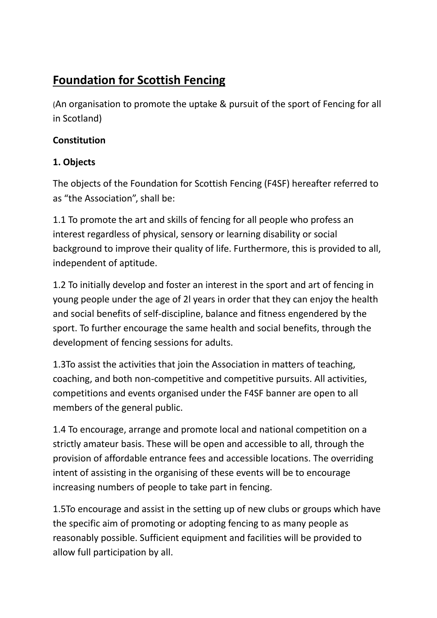# **Foundation for Scottish Fencing**

(An organisation to promote the uptake & pursuit of the sport of Fencing for all in Scotland)

#### **Constitution**

### **1. Objects**

The objects of the Foundation for Scottish Fencing (F4SF) hereafter referred to as "the Association", shall be:

1.1 To promote the art and skills of fencing for all people who profess an interest regardless of physical, sensory or learning disability or social background to improve their quality of life. Furthermore, this is provided to all, independent of aptitude.

1.2 To initially develop and foster an interest in the sport and art of fencing in young people under the age of 2l years in order that they can enjoy the health and social benefits of self-discipline, balance and fitness engendered by the sport. To further encourage the same health and social benefits, through the development of fencing sessions for adults.

1.3To assist the activities that join the Association in matters of teaching, coaching, and both non-competitive and competitive pursuits. All activities, competitions and events organised under the F4SF banner are open to all members of the general public.

1.4 To encourage, arrange and promote local and national competition on a strictly amateur basis. These will be open and accessible to all, through the provision of affordable entrance fees and accessible locations. The overriding intent of assisting in the organising of these events will be to encourage increasing numbers of people to take part in fencing.

1.5To encourage and assist in the setting up of new clubs or groups which have the specific aim of promoting or adopting fencing to as many people as reasonably possible. Sufficient equipment and facilities will be provided to allow full participation by all.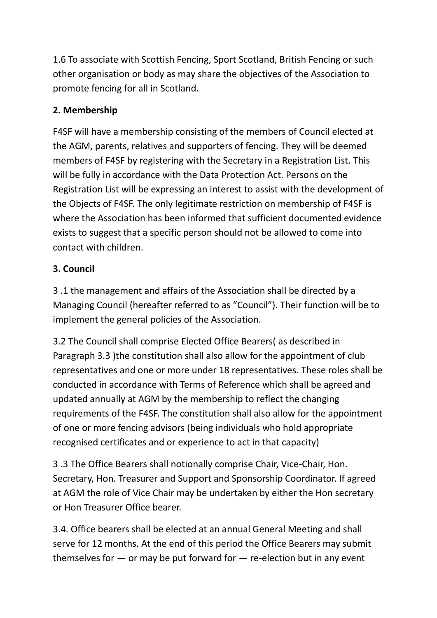1.6 To associate with Scottish Fencing, Sport Scotland, British Fencing or such other organisation or body as may share the objectives of the Association to promote fencing for all in Scotland.

### **2. Membership**

F4SF will have a membership consisting of the members of Council elected at the AGM, parents, relatives and supporters of fencing. They will be deemed members of F4SF by registering with the Secretary in a Registration List. This will be fully in accordance with the Data Protection Act. Persons on the Registration List will be expressing an interest to assist with the development of the Objects of F4SF. The only legitimate restriction on membership of F4SF is where the Association has been informed that sufficient documented evidence exists to suggest that a specific person should not be allowed to come into contact with children.

### **3. Council**

3 .1 the management and affairs of the Association shall be directed by a Managing Council (hereafter referred to as "Council"). Their function will be to implement the general policies of the Association.

3.2 The Council shall comprise Elected Office Bearers( as described in Paragraph 3.3 )the constitution shall also allow for the appointment of club representatives and one or more under 18 representatives. These roles shall be conducted in accordance with Terms of Reference which shall be agreed and updated annually at AGM by the membership to reflect the changing requirements of the F4SF. The constitution shall also allow for the appointment of one or more fencing advisors (being individuals who hold appropriate recognised certificates and or experience to act in that capacity)

3 .3 The Office Bearers shall notionally comprise Chair, Vice-Chair, Hon. Secretary, Hon. Treasurer and Support and Sponsorship Coordinator. If agreed at AGM the role of Vice Chair may be undertaken by either the Hon secretary or Hon Treasurer Office bearer.

3.4. Office bearers shall be elected at an annual General Meeting and shall serve for 12 months. At the end of this period the Office Bearers may submit themselves for  $-$  or may be put forward for  $-$  re-election but in any event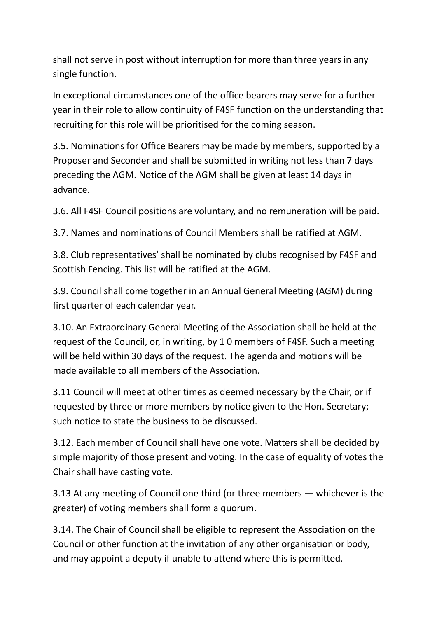shall not serve in post without interruption for more than three years in any single function.

In exceptional circumstances one of the office bearers may serve for a further year in their role to allow continuity of F4SF function on the understanding that recruiting for this role will be prioritised for the coming season.

3.5. Nominations for Office Bearers may be made by members, supported by a Proposer and Seconder and shall be submitted in writing not less than 7 days preceding the AGM. Notice of the AGM shall be given at least 14 days in advance.

3.6. All F4SF Council positions are voluntary, and no remuneration will be paid.

3.7. Names and nominations of Council Members shall be ratified at AGM.

3.8. Club representatives' shall be nominated by clubs recognised by F4SF and Scottish Fencing. This list will be ratified at the AGM.

3.9. Council shall come together in an Annual General Meeting (AGM) during first quarter of each calendar year.

3.10. An Extraordinary General Meeting of the Association shall be held at the request of the Council, or, in writing, by 1 0 members of F4SF. Such a meeting will be held within 30 days of the request. The agenda and motions will be made available to all members of the Association.

3.11 Council will meet at other times as deemed necessary by the Chair, or if requested by three or more members by notice given to the Hon. Secretary; such notice to state the business to be discussed.

3.12. Each member of Council shall have one vote. Matters shall be decided by simple majority of those present and voting. In the case of equality of votes the Chair shall have casting vote.

3.13 At any meeting of Council one third (or three members — whichever is the greater) of voting members shall form a quorum.

3.14. The Chair of Council shall be eligible to represent the Association on the Council or other function at the invitation of any other organisation or body, and may appoint a deputy if unable to attend where this is permitted.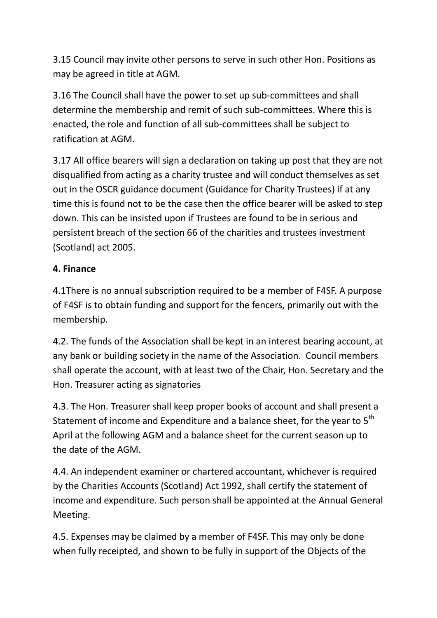3.15 Council may invite other persons to serve in such other Hon. Positions as may be agreed in title at AGM.

3.16 The Council shall have the power to set up sub-committees and shall determine the membership and remit of such sub-committees. Where this is enacted, the role and function of all sub-committees shall be subject to ratification at AGM.

3.17 All office bearers will sign a declaration on taking up post that they are not disqualified from acting as a charity trustee and will conduct themselves as set out in the OSCR guidance document (Guidance for Charity Trustees) if at any time this is found not to be the case then the office bearer will be asked to step down. This can be insisted upon if Trustees are found to be in serious and persistent breach of the section 66 of the charities and trustees investment (Scotland) act 2005.

### **4. Finance**

4.1There is no annual subscription required to be a member of F4SF. A purpose of F4SF is to obtain funding and support for the fencers, primarily out with the membership.

4.2. The funds of the Association shall be kept in an interest bearing account, at any bank or building society in the name of the Association. Council members shall operate the account, with at least two of the Chair, Hon. Secretary and the Hon. Treasurer acting as signatories

4.3. The Hon. Treasurer shall keep proper books of account and shall present a Statement of income and Expenditure and a balance sheet, for the year to 5<sup>th</sup> April at the following AGM and a balance sheet for the current season up to the date of the AGM.

4.4. An independent examiner or chartered accountant, whichever is required by the Charities Accounts (Scotland) Act 1992, shall certify the statement of income and expenditure. Such person shall be appointed at the Annual General Meeting.

4.5. Expenses may be claimed by a member of F4SF. This may only be done when fully receipted, and shown to be fully in support of the Objects of the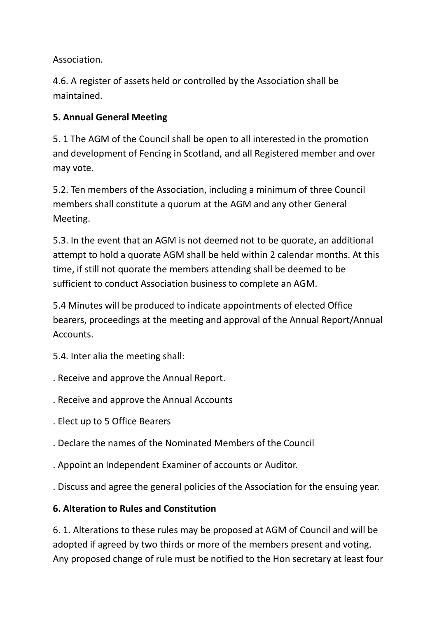Association.

4.6. A register of assets held or controlled by the Association shall be maintained.

## **5. Annual General Meeting**

5. 1 The AGM of the Council shall be open to all interested in the promotion and development of Fencing in Scotland, and all Registered member and over may vote.

5.2. Ten members of the Association, including a minimum of three Council members shall constitute a quorum at the AGM and any other General Meeting.

5.3. In the event that an AGM is not deemed not to be quorate, an additional attempt to hold a quorate AGM shall be held within 2 calendar months. At this time, if still not quorate the members attending shall be deemed to be sufficient to conduct Association business to complete an AGM.

5.4 Minutes will be produced to indicate appointments of elected Office bearers, proceedings at the meeting and approval of the Annual Report/Annual Accounts.

5.4. Inter alia the meeting shall:

- . Receive and approve the Annual Report.
- . Receive and approve the Annual Accounts
- . Elect up to 5 Office Bearers
- . Declare the names of the Nominated Members of the Council
- . Appoint an Independent Examiner of accounts or Auditor.
- . Discuss and agree the general policies of the Association for the ensuing year.

### **6. Alteration to Rules and Constitution**

6. 1. Alterations to these rules may be proposed at AGM of Council and will be adopted if agreed by two thirds or more of the members present and voting. Any proposed change of rule must be notified to the Hon secretary at least four